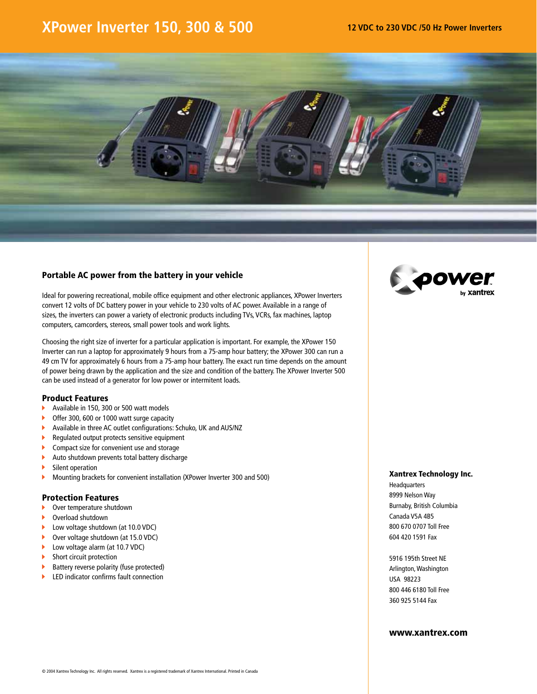## **XPower Inverter 150, 300 & 500 12 VDC to 230 VDC /50 Hz Power Inverters**



#### Portable AC power from the battery in your vehicle

Ideal for powering recreational, mobile office equipment and other electronic appliances, XPower Inverters convert 12 volts of DC battery power in your vehicle to 230 volts of AC power. Available in a range of sizes, the inverters can power a variety of electronic products including TVs, VCRs, fax machines, laptop computers, camcorders, stereos, small power tools and work lights.

Choosing the right size of inverter for a particular application is important. For example, the XPower 150 Inverter can run a laptop for approximately 9 hours from a 75-amp hour battery; the XPower 300 can run a 49 cm TV for approximately 6 hours from a 75-amp hour battery. The exact run time depends on the amount of power being drawn by the application and the size and condition of the battery. The XPower Inverter 500 can be used instead of a generator for low power or intermitent loads.

#### Product Features

- Available in 150, 300 or 500 watt models Ы
- Offer 300, 600 or 1000 watt surge capacity
- Available in three AC outlet configurations: Schuko, UK and AUS/NZ ¥.
- k. Regulated output protects sensitive equipment
- k. Compact size for convenient use and storage
- Auto shutdown prevents total battery discharge Ы
- Silent operation Ы
- ь Mounting brackets for convenient installation (XPower Inverter 300 and 500)

#### Protection Features

- Over temperature shutdown  $\mathbf{b}$  .
- Overload shutdown
- Low voltage shutdown (at 10.0 VDC)
- Ы Over voltage shutdown (at 15.0 VDC)
- ь Low voltage alarm (at 10.7 VDC)
- ь Short circuit protection
- Ы Battery reverse polarity (fuse protected)
- Ы LED indicator confirms fault connection



#### Xantrex Technology Inc.

**Headquarters** 8999 Nelson Way Burnaby, British Columbia Canada V5A 4B5 800 670 0707 Toll Free 604 420 1591 Fax

5916 195th Street NE Arlington, Washington USA 98223 800 446 6180 Toll Free 360 925 5144 Fax

#### www.xantrex.com